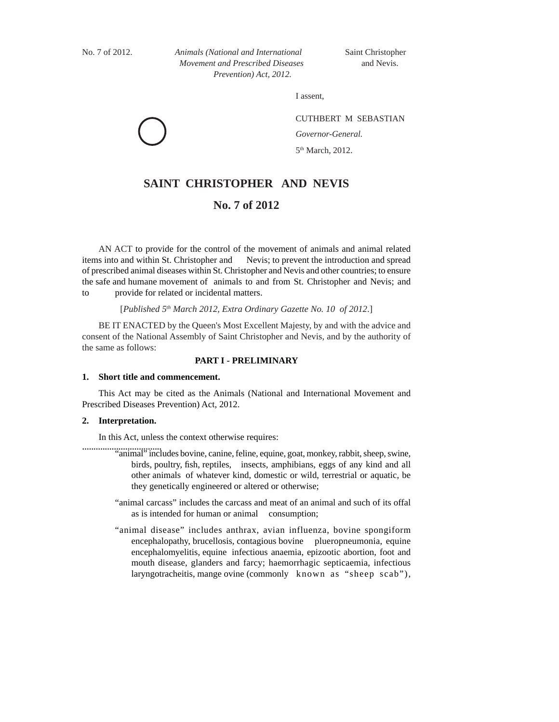*Animals (National and International Movement and Prescribed Diseases Prevention) Act,*  No. 7 of 2012. *Animals (National and International* Saint Christopher *Movement and Prescribed Diseases* and Nevis.  *Prevention) Act, 2012.* 

I assent,

CUTHBERT M SEBASTIAN *Governor-General.* 5<sup>th</sup> March, 2012.

# **SAINT CHRISTOPHER AND NEVIS**

# **No. 7 of 2012**

AN ACT to provide for the control of the movement of animals and animal related items into and within St. Christopher and Nevis; to prevent the introduction and spread of prescribed animal diseases within St. Christopher and Nevis and other countries; to ensure the safe and humane movement of animals to and from St. Christopher and Nevis; and to provide for related or incidental matters.

[*Published 5th March 2012, Extra Ordinary Gazette No. 10 of 2012*.]

BE IT ENACTED by the Queen's Most Excellent Majesty, by and with the advice and consent of the National Assembly of Saint Christopher and Nevis, and by the authority of the same as follows:

# **PART I - PRELIMINARY**

#### **1. Short title and commencement.**

 This Act may be cited as the Animals (National and International Movement and Prescribed Diseases Prevention) Act, 2012.

# **2. Interpretation.**

................................... In this Act, unless the context otherwise requires:

- "animal" includes bovine, canine, feline, equine, goat, monkey, rabbit, sheep, swine, birds, poultry, fish, reptiles, insects, amphibians, eggs of any kind and all other animals of whatever kind, domestic or wild, terrestrial or aquatic, be they genetically engineered or altered or otherwise;
	- "animal carcass" includes the carcass and meat of an animal and such of its offal as is intended for human or animal consumption;
	- "animal disease" includes anthrax, avian influenza, bovine spongiform encephalopathy, brucellosis, contagious bovine plueropneumonia, equine encephalomyelitis, equine infectious anaemia, epizootic abortion, foot and mouth disease, glanders and farcy; haemorrhagic septicaemia, infectious laryngotracheitis, mange ovine (commonly known as "sheep scab"),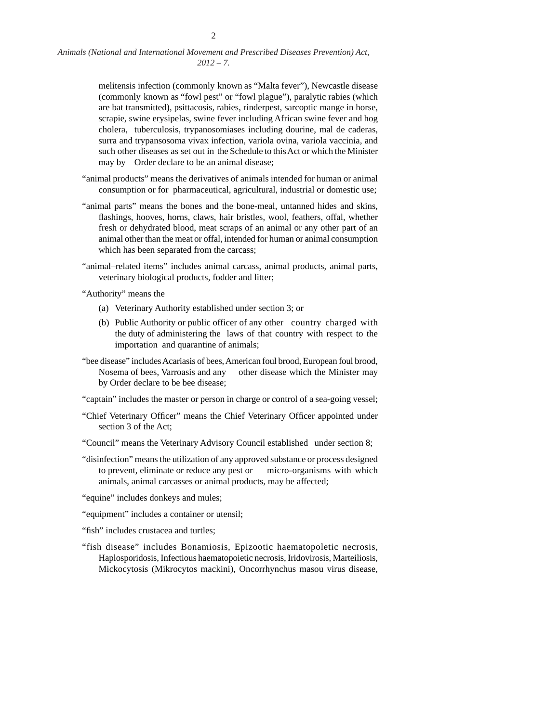> melitensis infection (commonly known as "Malta fever"), Newcastle disease (commonly known as "fowl pest" or "fowl plague"), paralytic rabies (which are bat transmitted), psittacosis, rabies, rinderpest, sarcoptic mange in horse, scrapie, swine erysipelas, swine fever including African swine fever and hog cholera, tuberculosis, trypanosomiases including dourine, mal de caderas, surra and trypansosoma vivax infection, variola ovina, variola vaccinia, and such other diseases as set out in the Schedule to this Act or which the Minister may by Order declare to be an animal disease;

- "animal products" means the derivatives of animals intended for human or animal consumption or for pharmaceutical, agricultural, industrial or domestic use;
- "animal parts" means the bones and the bone-meal, untanned hides and skins, flashings, hooves, horns, claws, hair bristles, wool, feathers, offal, whether fresh or dehydrated blood, meat scraps of an animal or any other part of an animal other than the meat or offal, intended for human or animal consumption which has been separated from the carcass;
- "animal–related items" includes animal carcass, animal products, animal parts, veterinary biological products, fodder and litter;

"Authority" means the

- (a) Veterinary Authority established under section 3; or
- (b) Public Authority or public officer of any other country charged with the duty of administering the laws of that country with respect to the importation and quarantine of animals;
- "bee disease" includes Acariasis of bees, American foul brood, European foul brood, Nosema of bees, Varroasis and any other disease which the Minister may by Order declare to be bee disease;

"captain" includes the master or person in charge or control of a sea-going vessel;

- "Chief Veterinary Officer" means the Chief Veterinary Officer appointed under section 3 of the Act;
- "Council" means the Veterinary Advisory Council established under section 8;
- "disinfection" means the utilization of any approved substance or process designed to prevent, eliminate or reduce any pest or micro-organisms with which animals, animal carcasses or animal products, may be affected;

"equine" includes donkeys and mules;

"equipment" includes a container or utensil;

"fish" includes crustacea and turtles;

"fish disease" includes Bonamiosis, Epizootic haematopoletic necrosis, Haplosporidosis, Infectious haematopoietic necrosis, Iridovirosis, Marteiliosis, Mickocytosis (Mikrocytos mackini), Oncorrhynchus masou virus disease,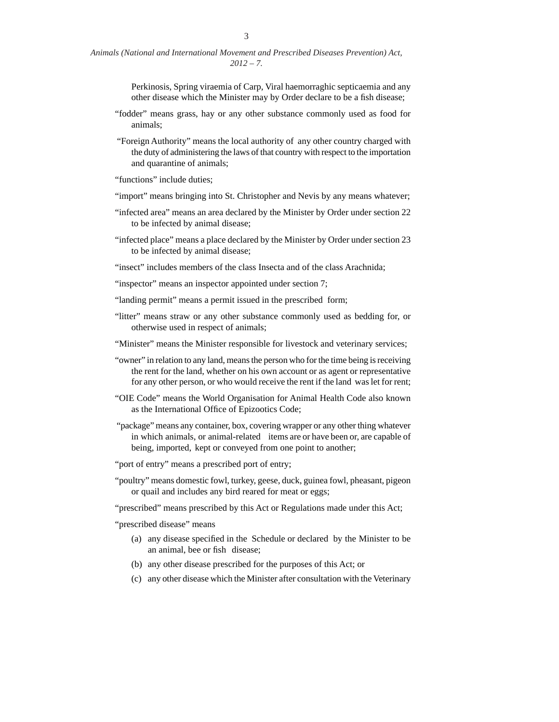Perkinosis, Spring viraemia of Carp, Viral haemorraghic septicaemia and any other disease which the Minister may by Order declare to be a fish disease;

- "fodder" means grass, hay or any other substance commonly used as food for animals;
- "Foreign Authority" means the local authority of any other country charged with the duty of administering the laws of that country with respect to the importation and quarantine of animals;

"functions" include duties;

- "import" means bringing into St. Christopher and Nevis by any means whatever;
- "infected area" means an area declared by the Minister by Order under section 22 to be infected by animal disease;
- "infected place" means a place declared by the Minister by Order under section 23 to be infected by animal disease;

"insect" includes members of the class Insecta and of the class Arachnida;

"inspector" means an inspector appointed under section 7;

- "landing permit" means a permit issued in the prescribed form;
- "litter" means straw or any other substance commonly used as bedding for, or otherwise used in respect of animals;
- "Minister" means the Minister responsible for livestock and veterinary services;
- "owner" in relation to any land, means the person who for the time being is receiving the rent for the land, whether on his own account or as agent or representative for any other person, or who would receive the rent if the land was let for rent;
- "OIE Code" means the World Organisation for Animal Health Code also known as the International Office of Epizootics Code;
- "package" means any container, box, covering wrapper or any other thing whatever in which animals, or animal-related items are or have been or, are capable of being, imported, kept or conveyed from one point to another;
- "port of entry" means a prescribed port of entry;
- "poultry" means domestic fowl, turkey, geese, duck, guinea fowl, pheasant, pigeon or quail and includes any bird reared for meat or eggs;

"prescribed" means prescribed by this Act or Regulations made under this Act;

"prescribed disease" means

- (a) any disease specified in the Schedule or declared by the Minister to be an animal, bee or fish disease;
- (b) any other disease prescribed for the purposes of this Act; or
- (c) any other disease which the Minister after consultation with the Veterinary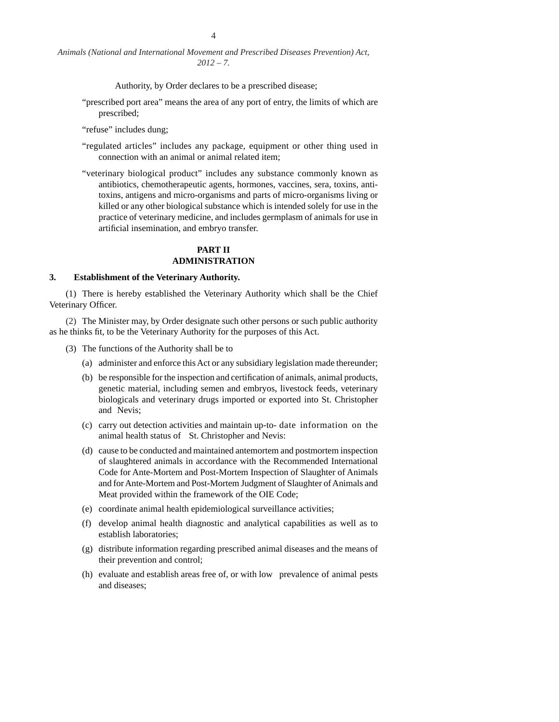Authority, by Order declares to be a prescribed disease;

"prescribed port area" means the area of any port of entry, the limits of which are prescribed;

"refuse" includes dung;

- "regulated articles" includes any package, equipment or other thing used in connection with an animal or animal related item;
- "veterinary biological product" includes any substance commonly known as antibiotics, chemotherapeutic agents, hormones, vaccines, sera, toxins, antitoxins, antigens and micro-organisms and parts of micro-organisms living or killed or any other biological substance which is intended solely for use in the practice of veterinary medicine, and includes germplasm of animals for use in artificial insemination, and embryo transfer.

# **PART II ADMINISTRATION**

### **3. Establishment of the Veterinary Authority.**

(1) There is hereby established the Veterinary Authority which shall be the Chief Veterinary Officer.

(2) The Minister may, by Order designate such other persons or such public authority as he thinks fit, to be the Veterinary Authority for the purposes of this Act.

- (3) The functions of the Authority shall be to
	- (a) administer and enforce this Act or any subsidiary legislation made thereunder;
	- (b) be responsible for the inspection and certification of animals, animal products, genetic material, including semen and embryos, livestock feeds, veterinary biologicals and veterinary drugs imported or exported into St. Christopher and Nevis;
	- (c) carry out detection activities and maintain up-to- date information on the animal health status of St. Christopher and Nevis:
	- (d) cause to be conducted and maintained antemortem and postmortem inspection of slaughtered animals in accordance with the Recommended International Code for Ante-Mortem and Post-Mortem Inspection of Slaughter of Animals and for Ante-Mortem and Post-Mortem Judgment of Slaughter of Animals and Meat provided within the framework of the OIE Code;
	- (e) coordinate animal health epidemiological surveillance activities;
	- (f) develop animal health diagnostic and analytical capabilities as well as to establish laboratories;
	- (g) distribute information regarding prescribed animal diseases and the means of their prevention and control;
	- (h) evaluate and establish areas free of, or with low prevalence of animal pests and diseases;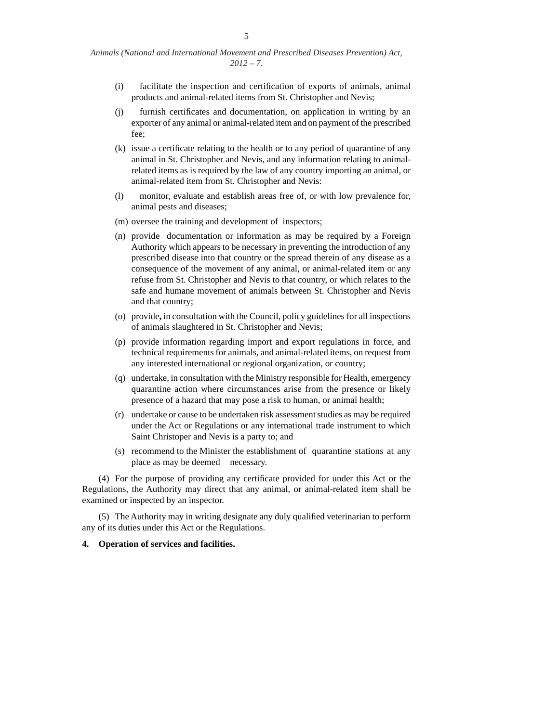| Animals (National and International Movement and Prescribed Diseases Prevention) Act, |  |             |  |  |  |
|---------------------------------------------------------------------------------------|--|-------------|--|--|--|
|                                                                                       |  | $2012 - 7.$ |  |  |  |

- $(i)$  facilitate the inspection and certification of exports of animals, animal products and animal-related items from St. Christopher and Nevis;
- $(i)$  furnish certificates and documentation, on application in writing by an exporter of any animal or animal-related item and on payment of the prescribed fee;
- $(k)$  issue a certificate relating to the health or to any period of quarantine of any animal in St. Christopher and Nevis, and any information relating to animalrelated items as is required by the law of any country importing an animal, or animal-related item from St. Christopher and Nevis:
- (l) monitor, evaluate and establish areas free of, or with low prevalence for, animal pests and diseases;
- (m) oversee the training and development of inspectors;
- (n) provide documentation or information as may be required by a Foreign Authority which appears to be necessary in preventing the introduction of any prescribed disease into that country or the spread therein of any disease as a consequence of the movement of any animal, or animal-related item or any refuse from St. Christopher and Nevis to that country, or which relates to the safe and humane movement of animals between St. Christopher and Nevis and that country;
- (o) provide**,** in consultation with the Council, policy guidelines for all inspections of animals slaughtered in St. Christopher and Nevis;
- (p) provide information regarding import and export regulations in force, and technical requirements for animals, and animal-related items, on request from any interested international or regional organization, or country;
- (q) undertake, in consultation with the Ministry responsible for Health, emergency quarantine action where circumstances arise from the presence or likely presence of a hazard that may pose a risk to human, or animal health;
- (r) undertake or cause to be undertaken risk assessment studies as may be required under the Act or Regulations or any international trade instrument to which Saint Christoper and Nevis is a party to; and
- (s) recommend to the Minister the establishment of quarantine stations at any place as may be deemed necessary.

(4) For the purpose of providing any certificate provided for under this Act or the Regulations, the Authority may direct that any animal, or animal-related item shall be examined or inspected by an inspector.

(5) The Authority may in writing designate any duly qualified veterinarian to perform any of its duties under this Act or the Regulations.

#### **4. Operation of services and facilities.**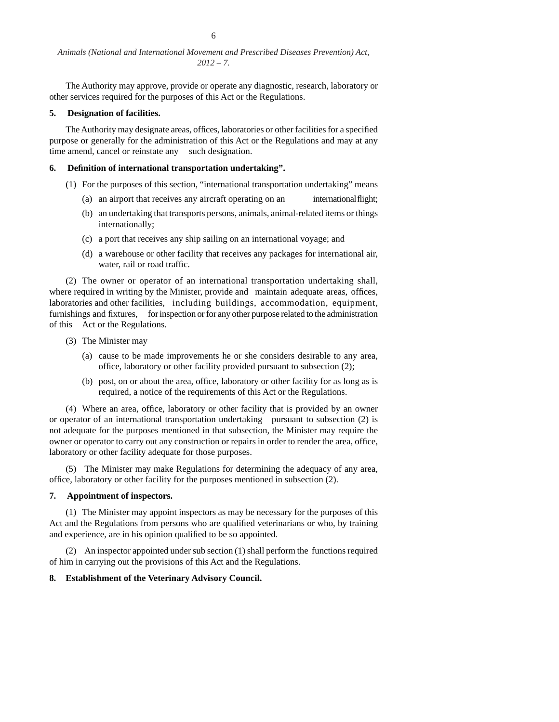The Authority may approve, provide or operate any diagnostic, research, laboratory or other services required for the purposes of this Act or the Regulations.

#### **5. Designation of facilities.**

The Authority may designate areas, offices, laboratories or other facilities for a specified purpose or generally for the administration of this Act or the Regulations and may at any time amend, cancel or reinstate any such designation.

#### **6. Defi nition of international transportation undertaking".**

- (1) For the purposes of this section, "international transportation undertaking" means
	- (a) an airport that receives any aircraft operating on an international flight;
	- (b) an undertaking that transports persons, animals, animal-related items or things internationally;
	- (c) a port that receives any ship sailing on an international voyage; and
	- (d) a warehouse or other facility that receives any packages for international air, water, rail or road traffic.

(2) The owner or operator of an international transportation undertaking shall, where required in writing by the Minister, provide and maintain adequate areas, offices, laboratories and other facilities, including buildings, accommodation, equipment, furnishings and fixtures, for inspection or for any other purpose related to the administration of this Act or the Regulations.

- (3) The Minister may
	- (a) cause to be made improvements he or she considers desirable to any area, office, laboratory or other facility provided pursuant to subsection  $(2)$ ;
	- (b) post, on or about the area, office, laboratory or other facility for as long as is required, a notice of the requirements of this Act or the Regulations.

(4) Where an area, office, laboratory or other facility that is provided by an owner or operator of an international transportation undertaking pursuant to subsection (2) is not adequate for the purposes mentioned in that subsection, the Minister may require the owner or operator to carry out any construction or repairs in order to render the area, office, laboratory or other facility adequate for those purposes.

(5) The Minister may make Regulations for determining the adequacy of any area, office, laboratory or other facility for the purposes mentioned in subsection (2).

# **7. Appointment of inspectors.**

(1) The Minister may appoint inspectors as may be necessary for the purposes of this Act and the Regulations from persons who are qualified veterinarians or who, by training and experience, are in his opinion qualified to be so appointed.

(2) An inspector appointed under sub section (1) shall perform the functions required of him in carrying out the provisions of this Act and the Regulations.

# **8. Establishment of the Veterinary Advisory Council.**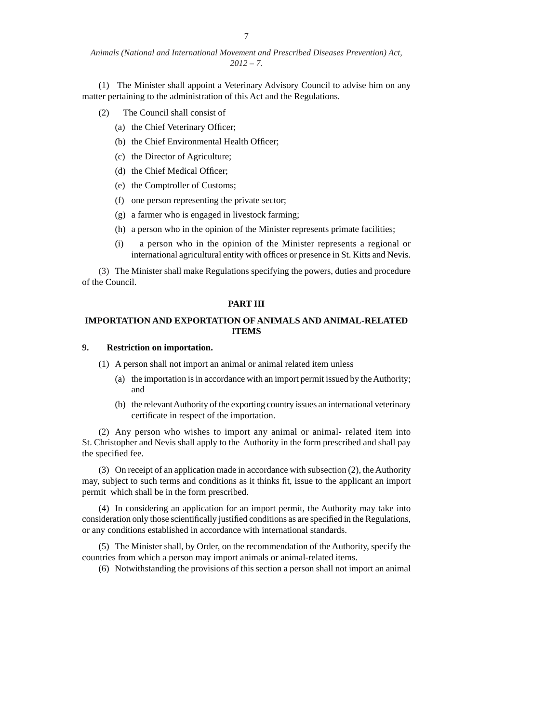(1) The Minister shall appoint a Veterinary Advisory Council to advise him on any matter pertaining to the administration of this Act and the Regulations.

- (2) The Council shall consist of
	- (a) the Chief Veterinary Officer;
	- (b) the Chief Environmental Health Officer;
	- (c) the Director of Agriculture;
	- (d) the Chief Medical Officer;
	- (e) the Comptroller of Customs;
	- (f) one person representing the private sector;
	- (g) a farmer who is engaged in livestock farming;
	- (h) a person who in the opinion of the Minister represents primate facilities;
	- (i) a person who in the opinion of the Minister represents a regional or international agricultural entity with offices or presence in St. Kitts and Nevis.

(3) The Minister shall make Regulations specifying the powers, duties and procedure of the Council.

### **PART III**

# **IMPORTATION AND EXPORTATION OF ANIMALS AND ANIMAL-RELATED ITEMS**

# **9. Restriction on importation.**

(1) A person shall not import an animal or animal related item unless

- (a) the importation is in accordance with an import permit issued by the Authority; and
- (b) the relevant Authority of the exporting country issues an international veterinary certificate in respect of the importation.

(2) Any person who wishes to import any animal or animal- related item into St. Christopher and Nevis shall apply to the Authority in the form prescribed and shall pay the specified fee.

(3) On receipt of an application made in accordance with subsection (2), the Authority may, subject to such terms and conditions as it thinks fit, issue to the applicant an import permit which shall be in the form prescribed.

(4) In considering an application for an import permit, the Authority may take into consideration only those scientifically justified conditions as are specified in the Regulations, or any conditions established in accordance with international standards.

(5) The Minister shall, by Order, on the recommendation of the Authority, specify the countries from which a person may import animals or animal-related items.

(6) Notwithstanding the provisions of this section a person shall not import an animal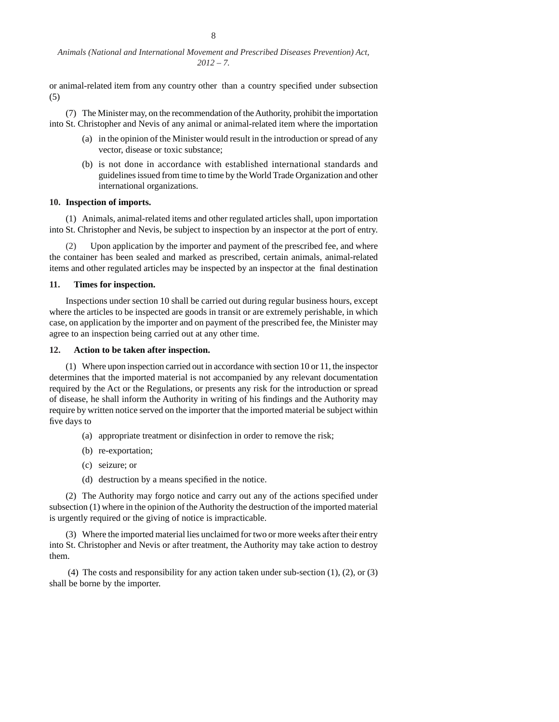or animal-related item from any country other than a country specified under subsection (5)

(7) The Minister may, on the recommendation of the Authority, prohibit the importation into St. Christopher and Nevis of any animal or animal-related item where the importation

- (a) in the opinion of the Minister would result in the introduction or spread of any vector, disease or toxic substance;
- (b) is not done in accordance with established international standards and guidelines issued from time to time by the World Trade Organization and other international organizations.

### **10. Inspection of imports.**

(1) Animals, animal-related items and other regulated articles shall, upon importation into St. Christopher and Nevis, be subject to inspection by an inspector at the port of entry.

(2) Upon application by the importer and payment of the prescribed fee, and where the container has been sealed and marked as prescribed, certain animals, animal-related items and other regulated articles may be inspected by an inspector at the final destination

#### **11. Times for inspection.**

 Inspections under section 10 shall be carried out during regular business hours, except where the articles to be inspected are goods in transit or are extremely perishable, in which case, on application by the importer and on payment of the prescribed fee, the Minister may agree to an inspection being carried out at any other time.

### **12. Action to be taken after inspection.**

 (1) Where upon inspection carried out in accordance with section 10 or 11, the inspector determines that the imported material is not accompanied by any relevant documentation required by the Act or the Regulations, or presents any risk for the introduction or spread of disease, he shall inform the Authority in writing of his findings and the Authority may require by written notice served on the importer that the imported material be subject within five days to

- (a) appropriate treatment or disinfection in order to remove the risk;
- (b) re-exportation;
- (c) seizure; or
- $(d)$  destruction by a means specified in the notice.

(2) The Authority may forgo notice and carry out any of the actions specified under subsection (1) where in the opinion of the Authority the destruction of the imported material is urgently required or the giving of notice is impracticable.

(3) Where the imported material lies unclaimed for two or more weeks after their entry into St. Christopher and Nevis or after treatment, the Authority may take action to destroy them.

(4) The costs and responsibility for any action taken under sub-section  $(1)$ ,  $(2)$ , or  $(3)$ shall be borne by the importer.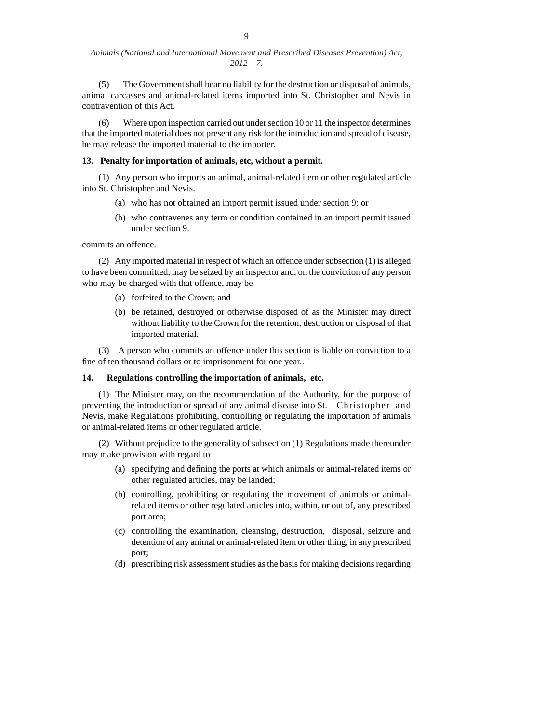(5) The Government shall bear no liability for the destruction or disposal of animals, animal carcasses and animal-related items imported into St. Christopher and Nevis in contravention of this Act.

(6) Where upon inspection carried out under section 10 or 11 the inspector determines that the imported material does not present any risk for the introduction and spread of disease, he may release the imported material to the importer.

### **13. Penalty for importation of animals, etc, without a permit.**

(1) Any person who imports an animal, animal-related item or other regulated article into St. Christopher and Nevis.

- (a) who has not obtained an import permit issued under section 9; or
- (b) who contravenes any term or condition contained in an import permit issued under section 9.

commits an offence.

(2) Any imported material in respect of which an offence under subsection (1) is alleged to have been committed, may be seized by an inspector and, on the conviction of any person who may be charged with that offence, may be

- (a) forfeited to the Crown; and
- (b) be retained, destroyed or otherwise disposed of as the Minister may direct without liability to the Crown for the retention, destruction or disposal of that imported material.

(3) A person who commits an offence under this section is liable on conviction to a fine of ten thousand dollars or to imprisonment for one year..

# **14. Regulations controlling the importation of animals, etc.**

(1) The Minister may, on the recommendation of the Authority, for the purpose of preventing the introduction or spread of any animal disease into St. Christopher and Nevis, make Regulations prohibiting, controlling or regulating the importation of animals or animal-related items or other regulated article.

(2) Without prejudice to the generality of subsection (1) Regulations made thereunder may make provision with regard to

- (a) specifying and defining the ports at which animals or animal-related items or other regulated articles, may be landed;
- (b) controlling, prohibiting or regulating the movement of animals or animalrelated items or other regulated articles into, within, or out of, any prescribed port area;
- (c) controlling the examination, cleansing, destruction, disposal, seizure and detention of any animal or animal-related item or other thing, in any prescribed port;
- (d) prescribing risk assessment studies as the basis for making decisions regarding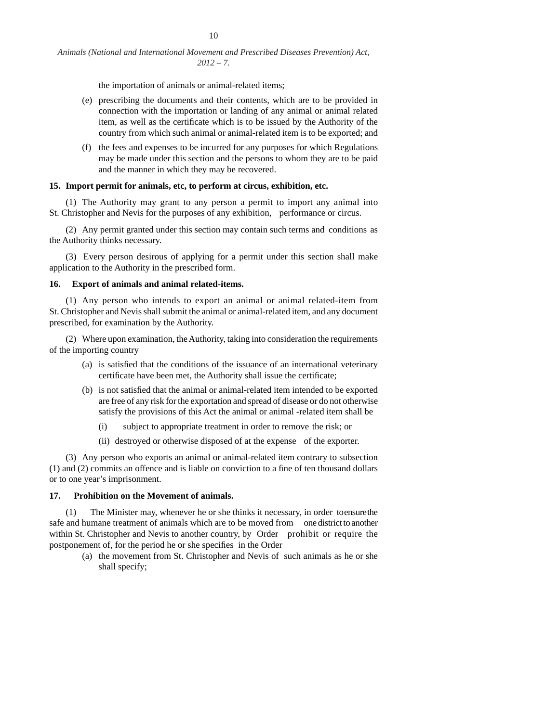the importation of animals or animal-related items;

- (e) prescribing the documents and their contents, which are to be provided in connection with the importation or landing of any animal or animal related item, as well as the certificate which is to be issued by the Authority of the country from which such animal or animal-related item is to be exported; and
- (f) the fees and expenses to be incurred for any purposes for which Regulations may be made under this section and the persons to whom they are to be paid and the manner in which they may be recovered.

### **15. Import permit for animals, etc, to perform at circus, exhibition, etc.**

(1) The Authority may grant to any person a permit to import any animal into St. Christopher and Nevis for the purposes of any exhibition, performance or circus.

(2) Any permit granted under this section may contain such terms and conditions as the Authority thinks necessary.

(3) Every person desirous of applying for a permit under this section shall make application to the Authority in the prescribed form.

### **16. Export of animals and animal related-items.**

 (1) Any person who intends to export an animal or animal related-item from St. Christopher and Nevis shall submit the animal or animal-related item, and any document prescribed, for examination by the Authority.

 (2) Where upon examination, the Authority, taking into consideration the requirements of the importing country

- $(a)$  is satisfied that the conditions of the issuance of an international veterinary certificate have been met, the Authority shall issue the certificate;
- (b) is not satisfied that the animal or animal-related item intended to be exported are free of any risk for the exportation and spread of disease or do not otherwise satisfy the provisions of this Act the animal or animal -related item shall be
	- (i) subject to appropriate treatment in order to remove the risk; or
	- (ii) destroyed or otherwise disposed of at the expense of the exporter.

(3) Any person who exports an animal or animal-related item contrary to subsection  $(1)$  and  $(2)$  commits an offence and is liable on conviction to a fine of ten thousand dollars or to one year's imprisonment.

# **17. Prohibition on the Movement of animals.**

(1) The Minister may, whenever he or she thinks it necessary, in order to ensure the safe and humane treatment of animals which are to be moved from one district to another within St. Christopher and Nevis to another country, by Order prohibit or require the postponement of, for the period he or she specifies in the Order

(a) the movement from St. Christopher and Nevis of such animals as he or she shall specify;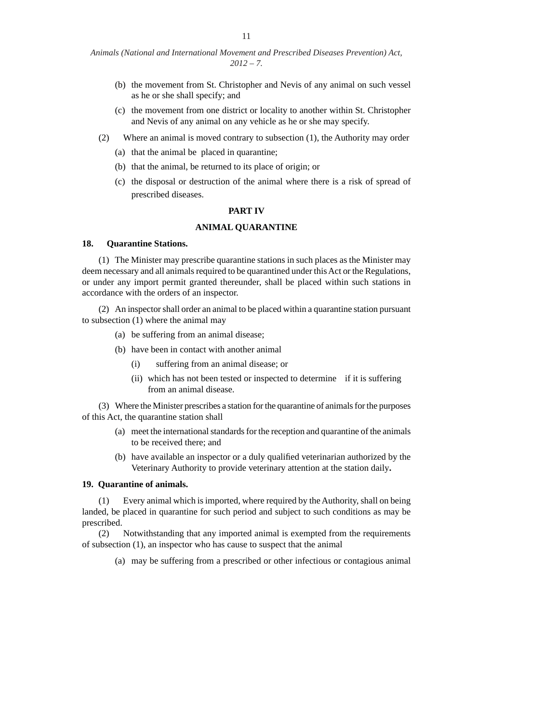- (b) the movement from St. Christopher and Nevis of any animal on such vessel as he or she shall specify; and
- (c) the movement from one district or locality to another within St. Christopher and Nevis of any animal on any vehicle as he or she may specify.
- (2) Where an animal is moved contrary to subsection (1), the Authority may order
	- (a) that the animal be placed in quarantine;
	- (b) that the animal, be returned to its place of origin; or
	- (c) the disposal or destruction of the animal where there is a risk of spread of prescribed diseases.

### **PART IV**

# **ANIMAL QUARANTINE**

#### **18. Quarantine Stations.**

(1) The Minister may prescribe quarantine stations in such places as the Minister may deem necessary and all animals required to be quarantined under this Act or the Regulations, or under any import permit granted thereunder, shall be placed within such stations in accordance with the orders of an inspector.

 (2) An inspector shall order an animal to be placed within a quarantine station pursuant to subsection (1) where the animal may

- (a) be suffering from an animal disease;
- (b) have been in contact with another animal
	- (i) suffering from an animal disease; or
	- (ii) which has not been tested or inspected to determine if it is suffering from an animal disease.

 (3) Where the Minister prescribes a station for the quarantine of animals for the purposes of this Act, the quarantine station shall

- (a) meet the international standards for the reception and quarantine of the animals to be received there; and
- (b) have available an inspector or a duly qualified veterinarian authorized by the Veterinary Authority to provide veterinary attention at the station daily**.**

### **19. Quarantine of animals.**

(1) Every animal which is imported, where required by the Authority, shall on being landed, be placed in quarantine for such period and subject to such conditions as may be prescribed.

(2) Notwithstanding that any imported animal is exempted from the requirements of subsection (1), an inspector who has cause to suspect that the animal

(a) may be suffering from a prescribed or other infectious or contagious animal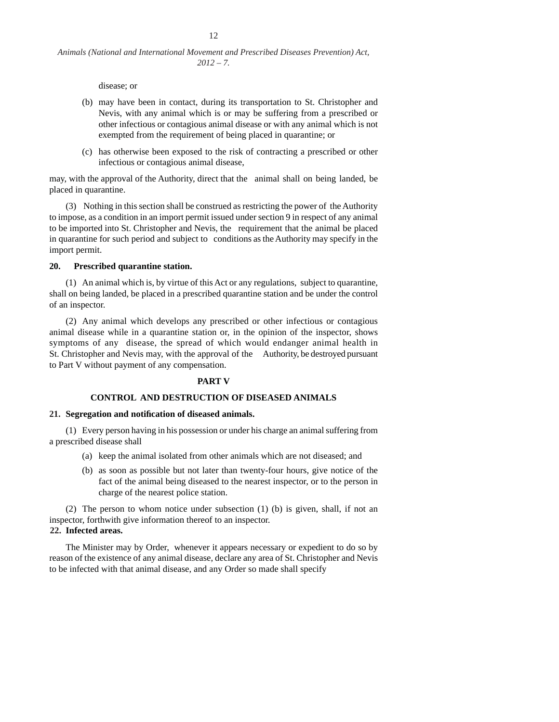disease; or

- (b) may have been in contact, during its transportation to St. Christopher and Nevis, with any animal which is or may be suffering from a prescribed or other infectious or contagious animal disease or with any animal which is not exempted from the requirement of being placed in quarantine; or
- (c) has otherwise been exposed to the risk of contracting a prescribed or other infectious or contagious animal disease,

may, with the approval of the Authority, direct that the animal shall on being landed, be placed in quarantine.

(3) Nothing in this section shall be construed as restricting the power of the Authority to impose, as a condition in an import permit issued under section 9 in respect of any animal to be imported into St. Christopher and Nevis, the requirement that the animal be placed in quarantine for such period and subject to conditions as the Authority may specify in the import permit.

### **20. Prescribed quarantine station.**

(1) An animal which is, by virtue of this Act or any regulations, subject to quarantine, shall on being landed, be placed in a prescribed quarantine station and be under the control of an inspector.

(2) Any animal which develops any prescribed or other infectious or contagious animal disease while in a quarantine station or, in the opinion of the inspector, shows symptoms of any disease, the spread of which would endanger animal health in St. Christopher and Nevis may, with the approval of the Authority, be destroyed pursuant to Part V without payment of any compensation.

#### **PART V**

# **CONTROL AND DESTRUCTION OF DISEASED ANIMALS**

#### **21. Segregation and notifi cation of diseased animals.**

(1) Every person having in his possession or under his charge an animal suffering from a prescribed disease shall

- (a) keep the animal isolated from other animals which are not diseased; and
- (b) as soon as possible but not later than twenty-four hours, give notice of the fact of the animal being diseased to the nearest inspector, or to the person in charge of the nearest police station.

 (2) The person to whom notice under subsection (1) (b) is given, shall, if not an inspector, forthwith give information thereof to an inspector.

**22. Infected areas.**

 The Minister may by Order, whenever it appears necessary or expedient to do so by reason of the existence of any animal disease, declare any area of St. Christopher and Nevis to be infected with that animal disease, and any Order so made shall specify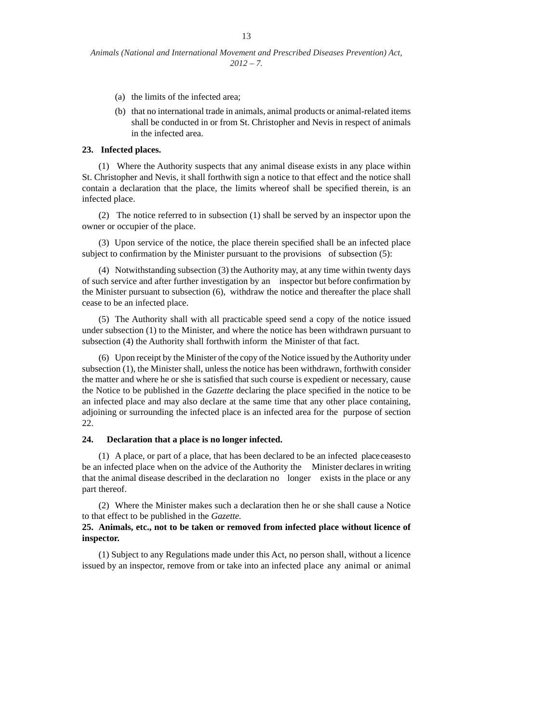- (a) the limits of the infected area;
- (b) that no international trade in animals, animal products or animal-related items shall be conducted in or from St. Christopher and Nevis in respect of animals in the infected area.

# **23. Infected places.**

(1) Where the Authority suspects that any animal disease exists in any place within St. Christopher and Nevis, it shall forthwith sign a notice to that effect and the notice shall contain a declaration that the place, the limits whereof shall be specified therein, is an infected place.

(2) The notice referred to in subsection (1) shall be served by an inspector upon the owner or occupier of the place.

(3) Upon service of the notice, the place therein specified shall be an infected place subject to confirmation by the Minister pursuant to the provisions of subsection  $(5)$ :

(4) Notwithstanding subsection (3) the Authority may, at any time within twenty days of such service and after further investigation by an inspector but before confirmation by the Minister pursuant to subsection (6), withdraw the notice and thereafter the place shall cease to be an infected place.

(5) The Authority shall with all practicable speed send a copy of the notice issued under subsection (1) to the Minister, and where the notice has been withdrawn pursuant to subsection (4) the Authority shall forthwith inform the Minister of that fact.

(6) Upon receipt by the Minister of the copy of the Notice issued by the Authority under subsection (1), the Minister shall, unless the notice has been withdrawn, forthwith consider the matter and where he or she is satisfied that such course is expedient or necessary, cause the Notice to be published in the *Gazette* declaring the place specified in the notice to be an infected place and may also declare at the same time that any other place containing, adjoining or surrounding the infected place is an infected area for the purpose of section 22.

#### **24. Declaration that a place is no longer infected.**

(1) A place, or part of a place, that has been declared to be an infected place ceases to be an infected place when on the advice of the Authority the Minister declares in writing that the animal disease described in the declaration no longer exists in the place or any part thereof.

(2) Where the Minister makes such a declaration then he or she shall cause a Notice to that effect to be published in the *Gazette.*

# **25. Animals, etc., not to be taken or removed from infected place without licence of inspector.**

(1) Subject to any Regulations made under this Act, no person shall, without a licence issued by an inspector, remove from or take into an infected place any animal or animal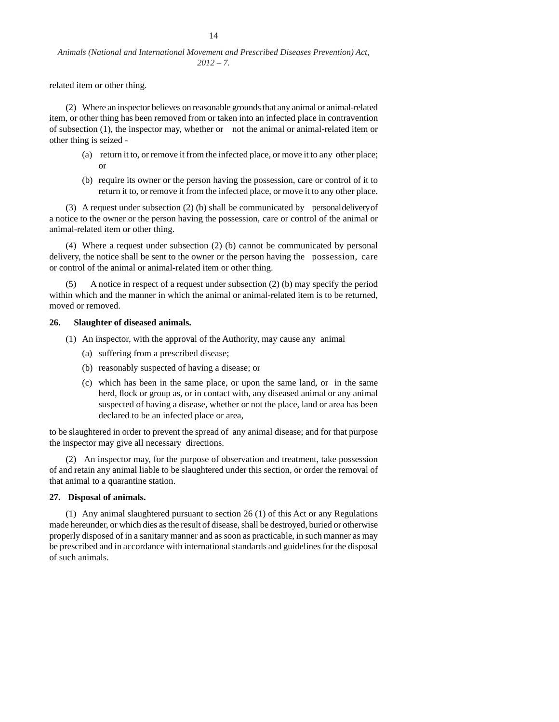14

related item or other thing.

(2) Where an inspector believes on reasonable grounds that any animal or animal-related item, or other thing has been removed from or taken into an infected place in contravention of subsection (1), the inspector may, whether or not the animal or animal-related item or other thing is seized -

- (a) return it to, or remove it from the infected place, or move it to any other place; or
- (b) require its owner or the person having the possession, care or control of it to return it to, or remove it from the infected place, or move it to any other place.

(3) A request under subsection (2) (b) shall be communicated by personal delivery of a notice to the owner or the person having the possession, care or control of the animal or animal-related item or other thing.

(4) Where a request under subsection (2) (b) cannot be communicated by personal delivery, the notice shall be sent to the owner or the person having the possession, care or control of the animal or animal-related item or other thing.

(5) A notice in respect of a request under subsection (2) (b) may specify the period within which and the manner in which the animal or animal-related item is to be returned, moved or removed.

#### **26. Slaughter of diseased animals.**

- (1) An inspector, with the approval of the Authority, may cause any animal
	- (a) suffering from a prescribed disease;
	- (b) reasonably suspected of having a disease; or
	- (c) which has been in the same place, or upon the same land, or in the same herd, flock or group as, or in contact with, any diseased animal or any animal suspected of having a disease, whether or not the place, land or area has been declared to be an infected place or area,

to be slaughtered in order to prevent the spread of any animal disease; and for that purpose the inspector may give all necessary directions.

(2) An inspector may, for the purpose of observation and treatment, take possession of and retain any animal liable to be slaughtered under this section, or order the removal of that animal to a quarantine station.

# **27. Disposal of animals.**

(1) Any animal slaughtered pursuant to section 26 (1) of this Act or any Regulations made hereunder, or which dies as the result of disease, shall be destroyed, buried or otherwise properly disposed of in a sanitary manner and as soon as practicable, in such manner as may be prescribed and in accordance with international standards and guidelines for the disposal of such animals.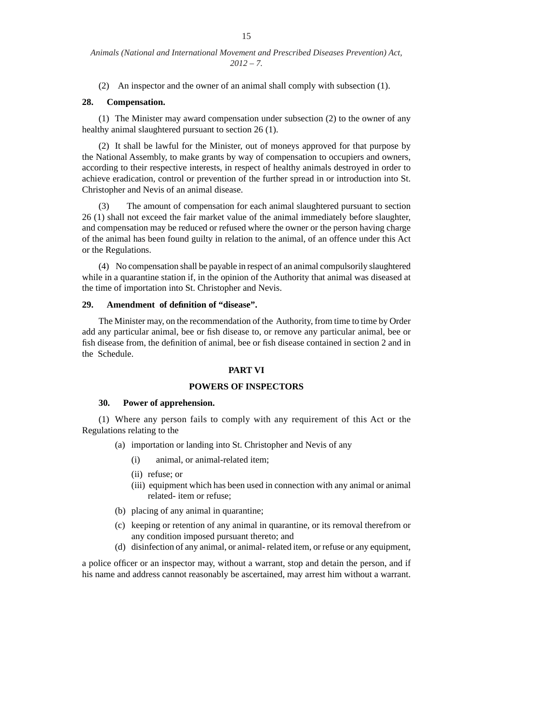(2) An inspector and the owner of an animal shall comply with subsection (1).

# **28. Compensation.**

(1) The Minister may award compensation under subsection (2) to the owner of any healthy animal slaughtered pursuant to section 26 (1).

(2) It shall be lawful for the Minister, out of moneys approved for that purpose by the National Assembly, to make grants by way of compensation to occupiers and owners, according to their respective interests, in respect of healthy animals destroyed in order to achieve eradication, control or prevention of the further spread in or introduction into St. Christopher and Nevis of an animal disease.

(3) The amount of compensation for each animal slaughtered pursuant to section 26 (1) shall not exceed the fair market value of the animal immediately before slaughter, and compensation may be reduced or refused where the owner or the person having charge of the animal has been found guilty in relation to the animal, of an offence under this Act or the Regulations.

(4) No compensation shall be payable in respect of an animal compulsorily slaughtered while in a quarantine station if, in the opinion of the Authority that animal was diseased at the time of importation into St. Christopher and Nevis.

# 29. Amendment of definition of "disease".

The Minister may, on the recommendation of the Authority, from time to time by Order add any particular animal, bee or fish disease to, or remove any particular animal, bee or fish disease from, the definition of animal, bee or fish disease contained in section 2 and in the Schedule.

# **PART VI**

# **POWERS OF INSPECTORS**

# **30. Power of apprehension.**

(1) Where any person fails to comply with any requirement of this Act or the Regulations relating to the

- (a) importation or landing into St. Christopher and Nevis of any
	- (i) animal, or animal-related item;
	- (ii) refuse; or
	- (iii) equipment which has been used in connection with any animal or animal related- item or refuse;
- (b) placing of any animal in quarantine;
- (c) keeping or retention of any animal in quarantine, or its removal therefrom or any condition imposed pursuant thereto; and
- (d) disinfection of any animal, or animal- related item, or refuse or any equipment,

a police officer or an inspector may, without a warrant, stop and detain the person, and if his name and address cannot reasonably be ascertained, may arrest him without a warrant.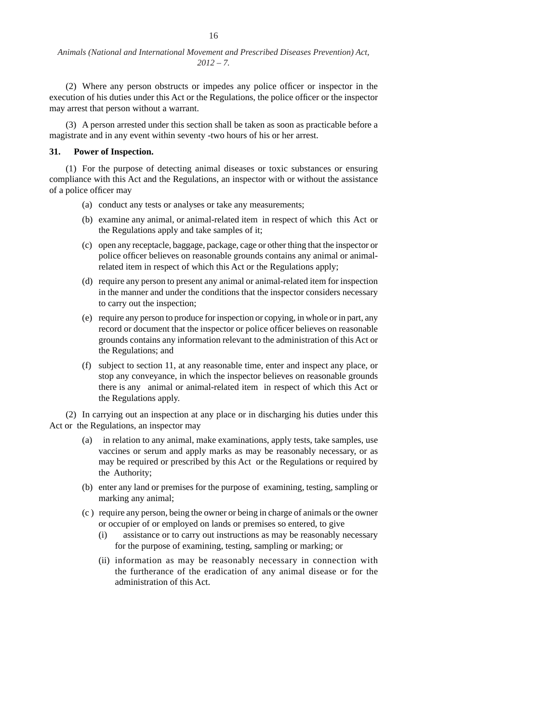(2) Where any person obstructs or impedes any police officer or inspector in the execution of his duties under this Act or the Regulations, the police officer or the inspector may arrest that person without a warrant.

(3) A person arrested under this section shall be taken as soon as practicable before a magistrate and in any event within seventy -two hours of his or her arrest.

#### **31. Power of Inspection.**

(1) For the purpose of detecting animal diseases or toxic substances or ensuring compliance with this Act and the Regulations, an inspector with or without the assistance of a police officer may

- (a) conduct any tests or analyses or take any measurements;
- (b) examine any animal, or animal-related item in respect of which this Act or the Regulations apply and take samples of it;
- (c) open any receptacle, baggage, package, cage or other thing that the inspector or police officer believes on reasonable grounds contains any animal or animalrelated item in respect of which this Act or the Regulations apply;
- (d) require any person to present any animal or animal-related item for inspection in the manner and under the conditions that the inspector considers necessary to carry out the inspection;
- (e) require any person to produce for inspection or copying, in whole or in part, any record or document that the inspector or police officer believes on reasonable grounds contains any information relevant to the administration of this Act or the Regulations; and
- (f) subject to section 11, at any reasonable time, enter and inspect any place, or stop any conveyance, in which the inspector believes on reasonable grounds there is any animal or animal-related item in respect of which this Act or the Regulations apply.

(2) In carrying out an inspection at any place or in discharging his duties under this Act or the Regulations, an inspector may

- (a) in relation to any animal, make examinations, apply tests, take samples, use vaccines or serum and apply marks as may be reasonably necessary, or as may be required or prescribed by this Act or the Regulations or required by the Authority;
- (b) enter any land or premises for the purpose of examining, testing, sampling or marking any animal;
- (c ) require any person, being the owner or being in charge of animals or the owner or occupier of or employed on lands or premises so entered, to give
	- (i) assistance or to carry out instructions as may be reasonably necessary for the purpose of examining, testing, sampling or marking; or
	- (ii) information as may be reasonably necessary in connection with the furtherance of the eradication of any animal disease or for the administration of this Act.

16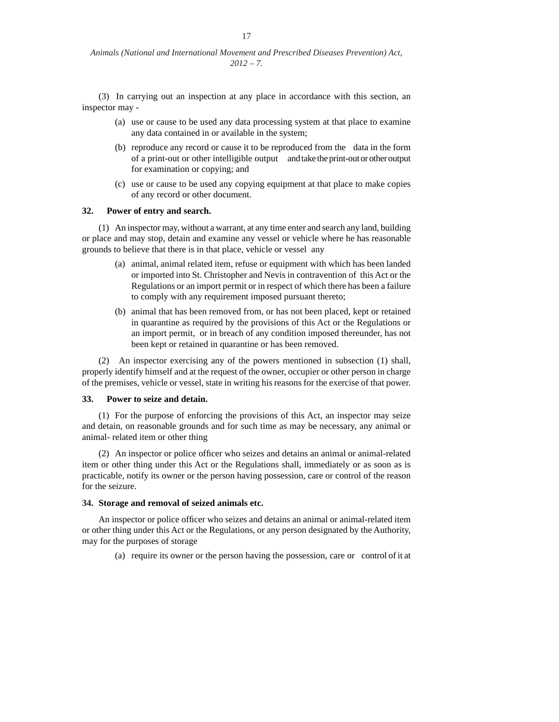(3) In carrying out an inspection at any place in accordance with this section, an inspector may -

- (a) use or cause to be used any data processing system at that place to examine any data contained in or available in the system;
- (b) reproduce any record or cause it to be reproduced from the data in the form of a print-out or other intelligible output and take the print-out or other output for examination or copying; and
- (c) use or cause to be used any copying equipment at that place to make copies of any record or other document.

### **32. Power of entry and search.**

(1) An inspector may, without a warrant, at any time enter and search any land, building or place and may stop, detain and examine any vessel or vehicle where he has reasonable grounds to believe that there is in that place, vehicle or vessel any

- (a) animal, animal related item, refuse or equipment with which has been landed or imported into St. Christopher and Nevis in contravention of this Act or the Regulations or an import permit or in respect of which there has been a failure to comply with any requirement imposed pursuant thereto;
- (b) animal that has been removed from, or has not been placed, kept or retained in quarantine as required by the provisions of this Act or the Regulations or an import permit, or in breach of any condition imposed thereunder, has not been kept or retained in quarantine or has been removed.

(2) An inspector exercising any of the powers mentioned in subsection (1) shall, properly identify himself and at the request of the owner, occupier or other person in charge of the premises, vehicle or vessel, state in writing his reasons for the exercise of that power.

#### **33. Power to seize and detain.**

(1) For the purpose of enforcing the provisions of this Act, an inspector may seize and detain, on reasonable grounds and for such time as may be necessary, any animal or animal- related item or other thing

 $(2)$  An inspector or police officer who seizes and detains an animal or animal-related item or other thing under this Act or the Regulations shall, immediately or as soon as is practicable, notify its owner or the person having possession, care or control of the reason for the seizure.

#### **34. Storage and removal of seized animals etc.**

An inspector or police officer who seizes and detains an animal or animal-related item or other thing under this Act or the Regulations, or any person designated by the Authority, may for the purposes of storage

(a) require its owner or the person having the possession, care or control of it at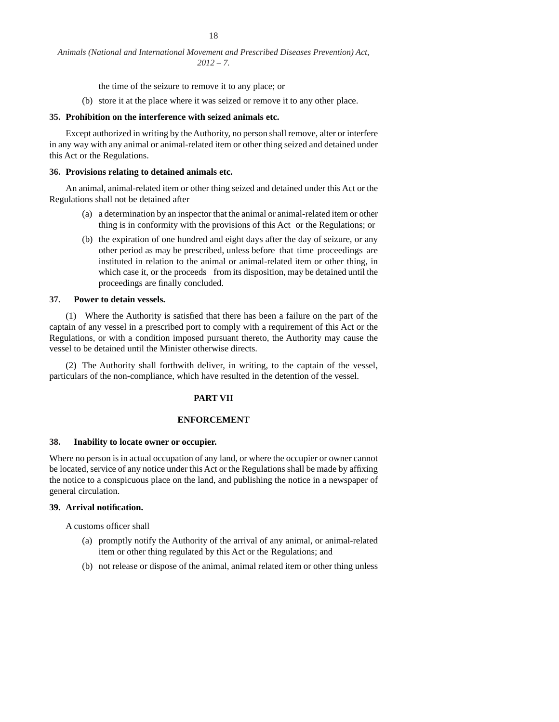the time of the seizure to remove it to any place; or

(b) store it at the place where it was seized or remove it to any other place.

#### **35. Prohibition on the interference with seized animals etc.**

 Except authorized in writing by the Authority, no person shall remove, alter or interfere in any way with any animal or animal-related item or other thing seized and detained under this Act or the Regulations.

#### **36. Provisions relating to detained animals etc.**

 An animal, animal-related item or other thing seized and detained under this Act or the Regulations shall not be detained after

- (a) a determination by an inspector that the animal or animal-related item or other thing is in conformity with the provisions of this Act or the Regulations; or
- (b) the expiration of one hundred and eight days after the day of seizure, or any other period as may be prescribed, unless before that time proceedings are instituted in relation to the animal or animal-related item or other thing, in which case it, or the proceeds from its disposition, may be detained until the proceedings are finally concluded.

#### **37. Power to detain vessels.**

 $(1)$  Where the Authority is satisfied that there has been a failure on the part of the captain of any vessel in a prescribed port to comply with a requirement of this Act or the Regulations, or with a condition imposed pursuant thereto, the Authority may cause the vessel to be detained until the Minister otherwise directs.

(2) The Authority shall forthwith deliver, in writing, to the captain of the vessel, particulars of the non-compliance, which have resulted in the detention of the vessel.

#### **PART VII**

# **ENFORCEMENT**

#### **38. Inability to locate owner or occupier.**

Where no person is in actual occupation of any land, or where the occupier or owner cannot be located, service of any notice under this Act or the Regulations shall be made by affixing the notice to a conspicuous place on the land, and publishing the notice in a newspaper of general circulation.

### **39. Arrival notifi cation.**

A customs officer shall

- (a) promptly notify the Authority of the arrival of any animal, or animal-related item or other thing regulated by this Act or the Regulations; and
- (b) not release or dispose of the animal, animal related item or other thing unless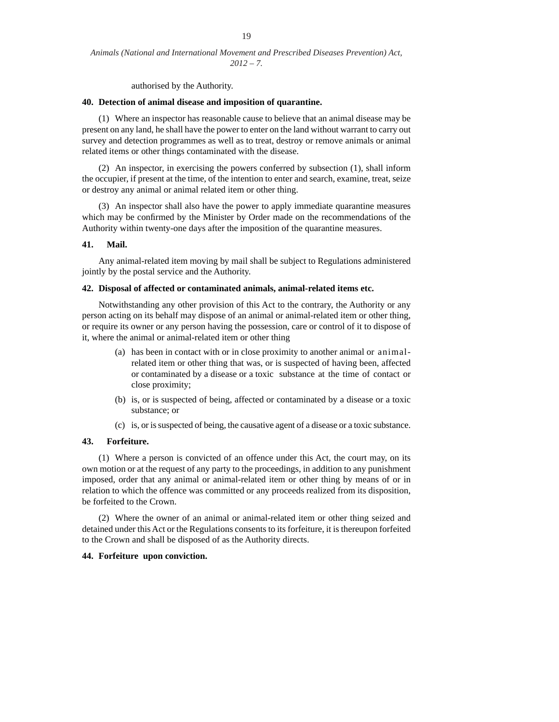authorised by the Authority.

#### **40. Detection of animal disease and imposition of quarantine.**

(1) Where an inspector has reasonable cause to believe that an animal disease may be present on any land, he shall have the power to enter on the land without warrant to carry out survey and detection programmes as well as to treat, destroy or remove animals or animal related items or other things contaminated with the disease.

(2) An inspector, in exercising the powers conferred by subsection (1), shall inform the occupier, if present at the time, of the intention to enter and search, examine, treat, seize or destroy any animal or animal related item or other thing.

(3) An inspector shall also have the power to apply immediate quarantine measures which may be confirmed by the Minister by Order made on the recommendations of the Authority within twenty-one days after the imposition of the quarantine measures.

#### **41. Mail.**

 Any animal-related item moving by mail shall be subject to Regulations administered jointly by the postal service and the Authority.

#### **42. Disposal of affected or contaminated animals, animal-related items etc.**

 Notwithstanding any other provision of this Act to the contrary, the Authority or any person acting on its behalf may dispose of an animal or animal-related item or other thing, or require its owner or any person having the possession, care or control of it to dispose of it, where the animal or animal-related item or other thing

- (a) has been in contact with or in close proximity to another animal or animalrelated item or other thing that was, or is suspected of having been, affected or contaminated by a disease or a toxic substance at the time of contact or close proximity;
- (b) is, or is suspected of being, affected or contaminated by a disease or a toxic substance; or
- (c) is, or is suspected of being, the causative agent of a disease or a toxic substance.

# **43. Forfeiture.**

(1) Where a person is convicted of an offence under this Act, the court may, on its own motion or at the request of any party to the proceedings, in addition to any punishment imposed, order that any animal or animal-related item or other thing by means of or in relation to which the offence was committed or any proceeds realized from its disposition, be forfeited to the Crown.

(2) Where the owner of an animal or animal-related item or other thing seized and detained under this Act or the Regulations consents to its forfeiture, it is thereupon forfeited to the Crown and shall be disposed of as the Authority directs.

### **44. Forfeiture upon conviction.**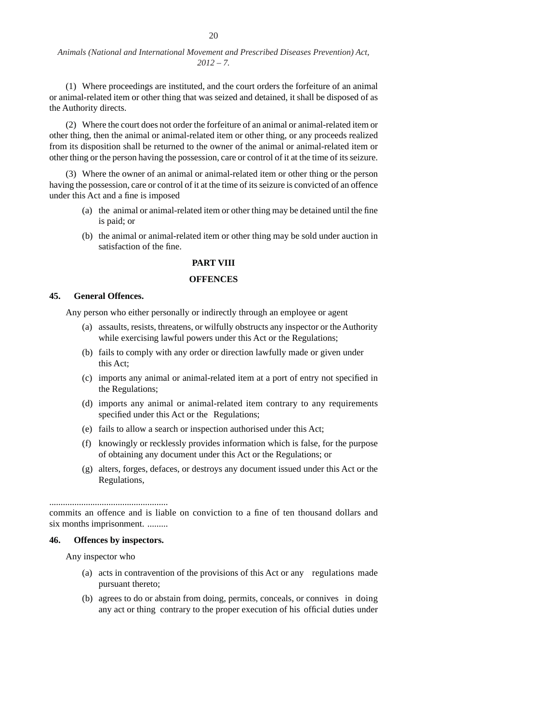(1) Where proceedings are instituted, and the court orders the forfeiture of an animal or animal-related item or other thing that was seized and detained, it shall be disposed of as the Authority directs.

(2) Where the court does not order the forfeiture of an animal or animal-related item or other thing, then the animal or animal-related item or other thing, or any proceeds realized from its disposition shall be returned to the owner of the animal or animal-related item or other thing or the person having the possession, care or control of it at the time of its seizure.

(3) Where the owner of an animal or animal-related item or other thing or the person having the possession, care or control of it at the time of its seizure is convicted of an offence under this Act and a fine is imposed

- (a) the animal or animal-related item or other thing may be detained until the fine is paid; or
- (b) the animal or animal-related item or other thing may be sold under auction in satisfaction of the fine.

# **PART VIII**

### **OFFENCES**

# **45. General Offences.**

Any person who either personally or indirectly through an employee or agent

- (a) assaults, resists, threatens, or wilfully obstructs any inspector or the Authority while exercising lawful powers under this Act or the Regulations;
- (b) fails to comply with any order or direction lawfully made or given under this Act;
- (c) imports any animal or animal-related item at a port of entry not specified in the Regulations;
- (d) imports any animal or animal-related item contrary to any requirements specified under this Act or the Regulations;
- (e) fails to allow a search or inspection authorised under this Act;
- (f) knowingly or recklessly provides information which is false, for the purpose of obtaining any document under this Act or the Regulations; or
- (g) alters, forges, defaces, or destroys any document issued under this Act or the Regulations,

....................................................

commits an offence and is liable on conviction to a fine of ten thousand dollars and six months imprisonment. .........

# **46. Offences by inspectors.**

Any inspector who

- (a) acts in contravention of the provisions of this Act or any regulations made pursuant thereto;
- (b) agrees to do or abstain from doing, permits, conceals, or connives in doing any act or thing contrary to the proper execution of his official duties under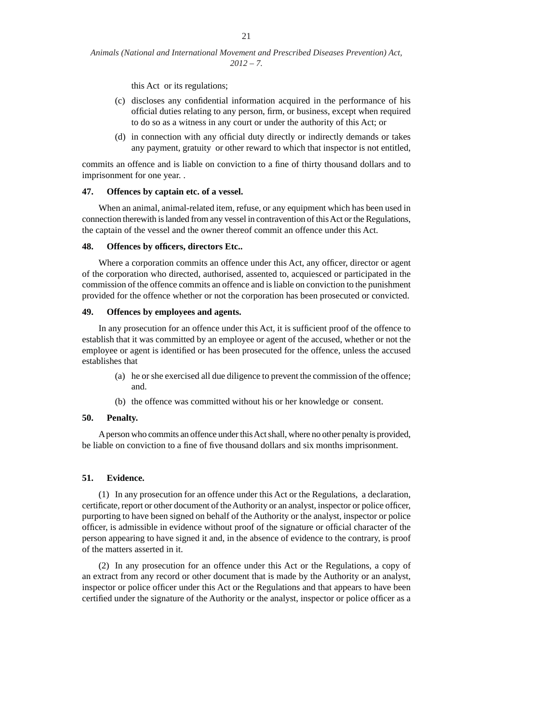this Act or its regulations;

- (c) discloses any confidential information acquired in the performance of his official duties relating to any person, firm, or business, except when required to do so as a witness in any court or under the authority of this Act; or
- (d) in connection with any official duty directly or indirectly demands or takes any payment, gratuity or other reward to which that inspector is not entitled,

commits an offence and is liable on conviction to a fine of thirty thousand dollars and to imprisonment for one year. .

#### **47. Offences by captain etc. of a vessel.**

 When an animal, animal-related item, refuse, or any equipment which has been used in connection therewith is landed from any vessel in contravention of this Act or the Regulations, the captain of the vessel and the owner thereof commit an offence under this Act.

### 48. Offences by officers, directors Etc..

Where a corporation commits an offence under this Act, any officer, director or agent of the corporation who directed, authorised, assented to, acquiesced or participated in the commission of the offence commits an offence and is liable on conviction to the punishment provided for the offence whether or not the corporation has been prosecuted or convicted.

### **49. Offences by employees and agents.**

In any prosecution for an offence under this Act, it is sufficient proof of the offence to establish that it was committed by an employee or agent of the accused, whether or not the employee or agent is identified or has been prosecuted for the offence, unless the accused establishes that

- (a) he or she exercised all due diligence to prevent the commission of the offence; and.
- (b) the offence was committed without his or her knowledge or consent.

# **50. Penalty.**

 A person who commits an offence under this Act shall, where no other penalty is provided, be liable on conviction to a fine of five thousand dollars and six months imprisonment.

# **51. Evidence.**

(1) In any prosecution for an offence under this Act or the Regulations, a declaration, certificate, report or other document of the Authority or an analyst, inspector or police officer, purporting to have been signed on behalf of the Authority or the analyst, inspector or police officer, is admissible in evidence without proof of the signature or official character of the person appearing to have signed it and, in the absence of evidence to the contrary, is proof of the matters asserted in it.

(2) In any prosecution for an offence under this Act or the Regulations, a copy of an extract from any record or other document that is made by the Authority or an analyst, inspector or police officer under this Act or the Regulations and that appears to have been certified under the signature of the Authority or the analyst, inspector or police officer as a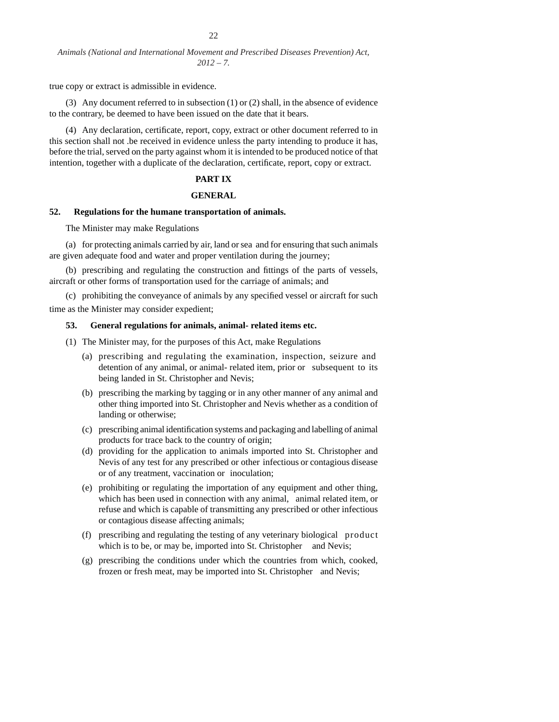true copy or extract is admissible in evidence.

(3) Any document referred to in subsection (1) or (2) shall, in the absence of evidence to the contrary, be deemed to have been issued on the date that it bears.

(4) Any declaration, certificate, report, copy, extract or other document referred to in this section shall not .be received in evidence unless the party intending to produce it has, before the trial, served on the party against whom it is intended to be produced notice of that intention, together with a duplicate of the declaration, certificate, report, copy or extract.

# **PART IX**

# **GENERAL**

### **52. Regulations for the humane transportation of animals.**

The Minister may make Regulations

(a) for protecting animals carried by air, land or sea and for ensuring that such animals are given adequate food and water and proper ventilation during the journey;

(b) prescribing and regulating the construction and fittings of the parts of vessels, aircraft or other forms of transportation used for the carriage of animals; and

(c) prohibiting the conveyance of animals by any specified vessel or aircraft for such time as the Minister may consider expedient;

#### **53. General regulations for animals, animal- related items etc.**

(1) The Minister may, for the purposes of this Act, make Regulations

- (a) prescribing and regulating the examination, inspection, seizure and detention of any animal, or animal- related item, prior or subsequent to its being landed in St. Christopher and Nevis;
- (b) prescribing the marking by tagging or in any other manner of any animal and other thing imported into St. Christopher and Nevis whether as a condition of landing or otherwise;
- (c) prescribing animal identification systems and packaging and labelling of animal products for trace back to the country of origin;
- (d) providing for the application to animals imported into St. Christopher and Nevis of any test for any prescribed or other infectious or contagious disease or of any treatment, vaccination or inoculation;
- (e) prohibiting or regulating the importation of any equipment and other thing, which has been used in connection with any animal, animal related item, or refuse and which is capable of transmitting any prescribed or other infectious or contagious disease affecting animals;
- (f) prescribing and regulating the testing of any veterinary biological product which is to be, or may be, imported into St. Christopher and Nevis;
- (g) prescribing the conditions under which the countries from which, cooked, frozen or fresh meat, may be imported into St. Christopher and Nevis;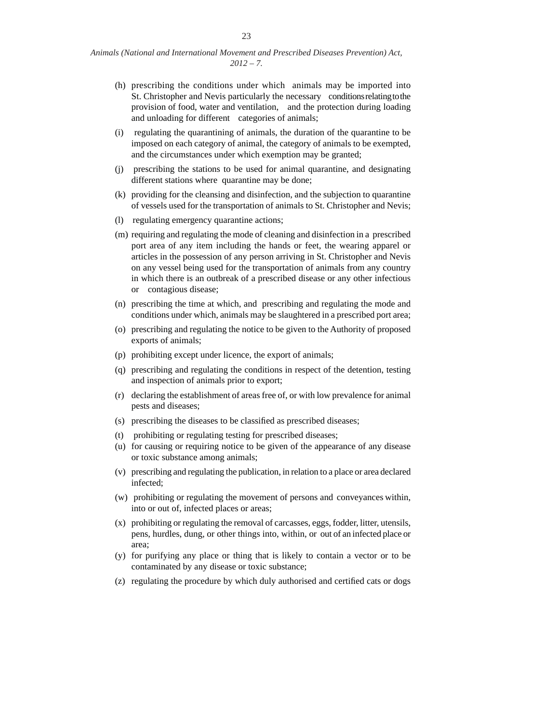- (h) prescribing the conditions under which animals may be imported into St. Christopher and Nevis particularly the necessary conditions relating to the provision of food, water and ventilation, and the protection during loading and unloading for different categories of animals;
- (i) regulating the quarantining of animals, the duration of the quarantine to be imposed on each category of animal, the category of animals to be exempted, and the circumstances under which exemption may be granted;
- (j) prescribing the stations to be used for animal quarantine, and designating different stations where quarantine may be done;
- (k) providing for the cleansing and disinfection, and the subjection to quarantine of vessels used for the transportation of animals to St. Christopher and Nevis;
- (l) regulating emergency quarantine actions;
- (m) requiring and regulating the mode of cleaning and disinfection in a prescribed port area of any item including the hands or feet, the wearing apparel or articles in the possession of any person arriving in St. Christopher and Nevis on any vessel being used for the transportation of animals from any country in which there is an outbreak of a prescribed disease or any other infectious or contagious disease;
- (n) prescribing the time at which, and prescribing and regulating the mode and conditions under which, animals may be slaughtered in a prescribed port area;
- (o) prescribing and regulating the notice to be given to the Authority of proposed exports of animals;
- (p) prohibiting except under licence, the export of animals;
- (q) prescribing and regulating the conditions in respect of the detention, testing and inspection of animals prior to export;
- (r) declaring the establishment of areas free of, or with low prevalence for animal pests and diseases;
- (s) prescribing the diseases to be classified as prescribed diseases;
- (t) prohibiting or regulating testing for prescribed diseases;
- (u) for causing or requiring notice to be given of the appearance of any disease or toxic substance among animals;
- (v) prescribing and regulating the publication, in relation to a place or area declared infected;
- (w) prohibiting or regulating the movement of persons and conveyances within, into or out of, infected places or areas;
- (x) prohibiting or regulating the removal of carcasses, eggs, fodder, litter, utensils, pens, hurdles, dung, or other things into, within, or out of an infected place or area;
- (y) for purifying any place or thing that is likely to contain a vector or to be contaminated by any disease or toxic substance;
- (z) regulating the procedure by which duly authorised and certified cats or dogs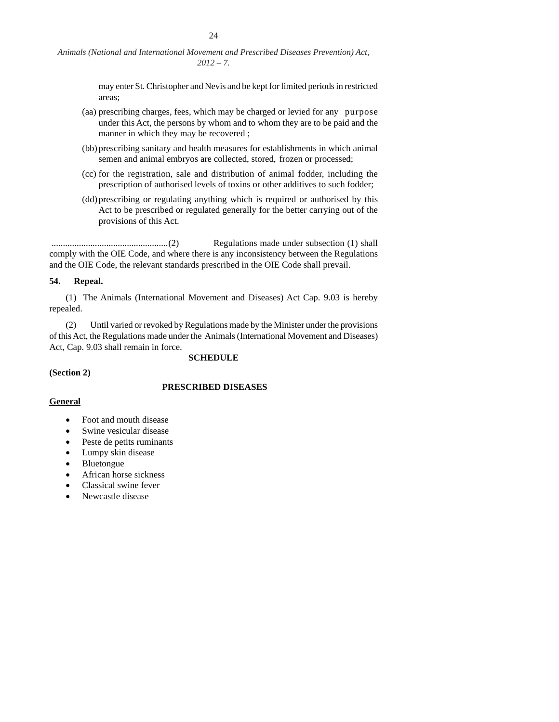> may enter St. Christopher and Nevis and be kept for limited periods in restricted areas;

- (aa) prescribing charges, fees, which may be charged or levied for any purpose under this Act, the persons by whom and to whom they are to be paid and the manner in which they may be recovered ;
- (bb) prescribing sanitary and health measures for establishments in which animal semen and animal embryos are collected, stored, frozen or processed;
- (cc) for the registration, sale and distribution of animal fodder, including the prescription of authorised levels of toxins or other additives to such fodder;
- (dd) prescribing or regulating anything which is required or authorised by this Act to be prescribed or regulated generally for the better carrying out of the provisions of this Act.

 ...................................................(2) Regulations made under subsection (1) shall comply with the OIE Code, and where there is any inconsistency between the Regulations and the OIE Code, the relevant standards prescribed in the OIE Code shall prevail.

# **54. Repeal.**

 (1) The Animals (International Movement and Diseases) Act Cap. 9.03 is hereby repealed.

 (2) Until varied or revoked by Regulations made by the Minister under the provisions of this Act, the Regulations made under the Animals (International Movement and Diseases) Act, Cap. 9.03 shall remain in force.

**SCHEDULE**

**(Section 2)**

# **PRESCRIBED DISEASES**

# **General**

- Foot and mouth disease
- Swine vesicular disease
- Peste de petits ruminants
- Lumpy skin disease
- Bluetongue
- African horse sickness
- Classical swine fever
- Newcastle disease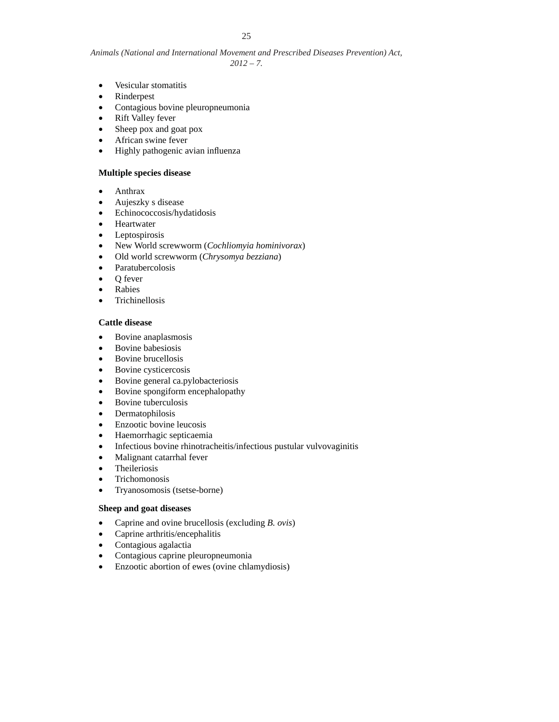- Vesicular stomatitis
- Rinderpest
- Contagious bovine pleuropneumonia
- Rift Valley fever
- Sheep pox and goat pox
- African swine fever
- Highly pathogenic avian influenza

# **Multiple species disease**

- Anthrax
- Aujeszky s disease
- Echinococcosis/hydatidosis
- **•** Heartwater
- Leptospirosis
- New World screwworm (*Cochliomyia hominivorax*)
- Old world screwworm (*Chrysomya bezziana*)
- Paratubercolosis
- Q fever
- Rabies
- **•** Trichinellosis

# **Cattle disease**

- Bovine anaplasmosis
- Bovine babesiosis
- Bovine brucellosis
- Bovine cysticercosis
- Bovine general ca.pylobacteriosis
- Bovine spongiform encephalopathy
- Bovine tuberculosis
- Dermatophilosis
- Enzootic bovine leucosis
- Haemorrhagic septicaemia
- Infectious bovine rhinotracheitis/infectious pustular vulvovaginitis
- Malignant catarrhal fever
- Theileriosis
- Trichomonosis
- Tryanosomosis (tsetse-borne)

# **Sheep and goat diseases**

- Caprine and ovine brucellosis (excluding *B. ovis*)
- Caprine arthritis/encephalitis
- Contagious agalactia
- Contagious caprine pleuropneumonia
- Enzootic abortion of ewes (ovine chlamydiosis)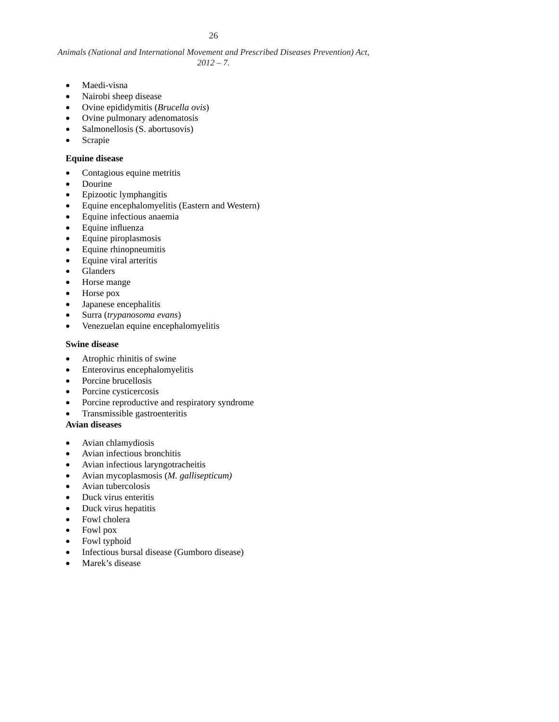- Maedi-visna
- Nairobi sheep disease
- Ovine epididymitis (*Brucella ovis*)
- Ovine pulmonary adenomatosis
- Salmonellosis (S. abortusovis)
- Scrapie

# **Equine disease**

- Contagious equine metritis
- Dourine
- Epizootic lymphangitis
- Equine encephalomyelitis (Eastern and Western)
- Equine infectious anaemia
- $\bullet$  Equine influenza
- Equine piroplasmosis
- Equine rhinopneumitis
- Equine viral arteritis
- Glanders
- Horse mange
- Horse pox
- Japanese encephalitis
- Surra (*trypanosoma evans*)
- Venezuelan equine encephalomyelitis

# **Swine disease**

- Atrophic rhinitis of swine
- Enterovirus encephalomyelitis
- Porcine brucellosis
- Porcine cysticercosis
- Porcine reproductive and respiratory syndrome
- Transmissible gastroenteritis

# **Avian diseases**

- Avian chlamydiosis
- Avian infectious bronchitis
- Avian infectious laryngotracheitis
- Avian mycoplasmosis (*M. gallisepticum)*
- Avian tubercolosis
- Duck virus enteritis
- Duck virus hepatitis
- Fowl cholera
- Fowl pox
- Fowl typhoid
- Infectious bursal disease (Gumboro disease)
- Marek's disease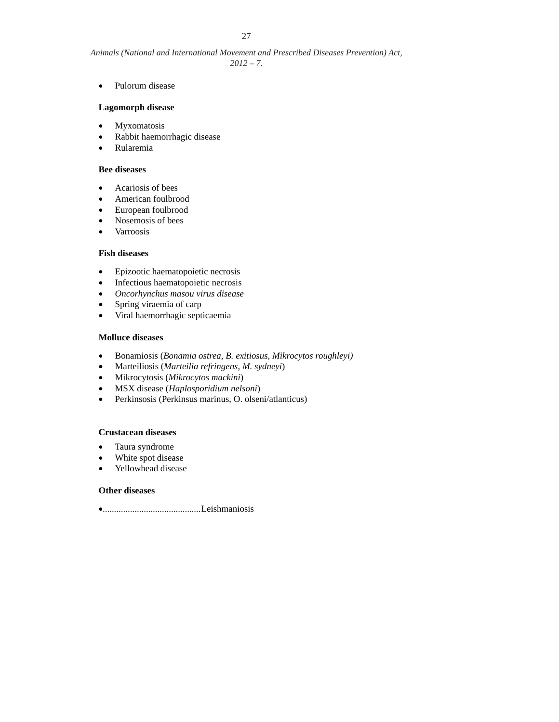• Pulorum disease

# **Lagomorph disease**

- Myxomatosis
- Rabbit haemorrhagic disease
- Rularemia

## **Bee diseases**

- Acariosis of bees
- American foulbrood
- European foulbrood
- Nosemosis of bees
- Varroosis

# **Fish diseases**

- Epizootic haematopoietic necrosis
- Infectious haematopoietic necrosis
- *Oncorhynchus masou virus disease*
- Spring viraemia of carp
- Viral haemorrhagic septicaemia

# **Molluce diseases**

- Bonamiosis (*Bonamia ostrea, B. exitiosus, Mikrocytos roughleyi)*
- Marteiliosis (*Marteilia refringens, M. sydneyi*)
- Mikrocytosis (*Mikrocytos mackini*)
- MSX disease (*Haplosporidium nelsoni*)
- Perkinsosis (Perkinsus marinus, O. olseni/atlanticus)

# **Crustacean diseases**

- Taura syndrome
- White spot disease
- Yellowhead disease

# **Other diseases**

Leishmaniosis